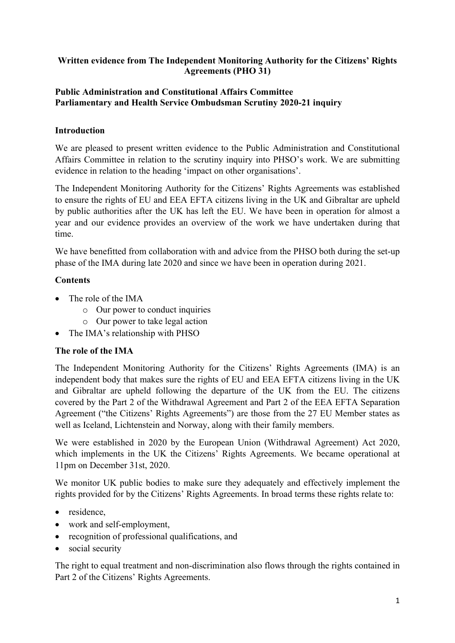### **Written evidence from The Independent Monitoring Authority for the Citizens' Rights Agreements (PHO 31)**

#### **[Public](https://admin.committees.parliament.uk/Committee/Edit/327) [Administration](https://admin.committees.parliament.uk/Committee/Edit/327) [and](https://admin.committees.parliament.uk/Committee/Edit/327) [Constitutional](https://admin.committees.parliament.uk/Committee/Edit/327) [Affairs](https://admin.committees.parliament.uk/Committee/Edit/327) [Committee](https://admin.committees.parliament.uk/Committee/Edit/327) [Parliamentary](https://admin.committees.parliament.uk/Committee/327/CommitteeBusiness/Edit/1503) [and](https://admin.committees.parliament.uk/Committee/327/CommitteeBusiness/Edit/1503) [Health](https://admin.committees.parliament.uk/Committee/327/CommitteeBusiness/Edit/1503) [Service](https://admin.committees.parliament.uk/Committee/327/CommitteeBusiness/Edit/1503) [Ombudsman](https://admin.committees.parliament.uk/Committee/327/CommitteeBusiness/Edit/1503) [Scrutiny](https://admin.committees.parliament.uk/Committee/327/CommitteeBusiness/Edit/1503) [2020-21](https://admin.committees.parliament.uk/Committee/327/CommitteeBusiness/Edit/1503) inquiry**

## **Introduction**

We are pleased to present written evidence to the Public Administration and Constitutional Affairs Committee in relation to the scrutiny inquiry into PHSO's work. We are submitting evidence in relation to the heading 'impact on other organisations'.

The Independent Monitoring Authority for the Citizens' Rights Agreements was established to ensure the rights of EU and EEA EFTA citizens living in the UK and Gibraltar are upheld by public authorities after the UK has left the EU. We have been in operation for almost a year and our evidence provides an overview of the work we have undertaken during that time.

We have benefitted from collaboration with and advice from the PHSO both during the set-up phase of the IMA during late 2020 and since we have been in operation during 2021.

### **Contents**

- The role of the IMA
	- o Our power to conduct inquiries
	- o Our power to take legal action
- The IMA's relationship with PHSO

#### **The role of the IMA**

The Independent Monitoring Authority for the Citizens' Rights Agreements (IMA) is an independent body that makes sure the rights of EU and EEA EFTA citizens living in the UK and Gibraltar are upheld following the departure of the UK from the EU. The citizens covered by the Part 2 of the Withdrawal Agreement and Part 2 of the EEA EFTA Separation Agreement ("the Citizens' Rights Agreements") are those from the 27 EU Member states as well as Iceland, Lichtenstein and Norway, along with their family members.

We were established in 2020 by the European Union (Withdrawal Agreement) Act 2020, which implements in the UK the Citizens' Rights Agreements. We became operational at 11pm on December 31st, 2020.

We monitor UK public bodies to make sure they adequately and effectively implement the rights provided for by the Citizens' Rights Agreements. In broad terms these rights relate to:

- residence,
- work and self-employment,
- recognition of professional qualifications, and
- social security

The right to equal treatment and non-discrimination also flows through the rights contained in Part 2 of the Citizens' Rights Agreements.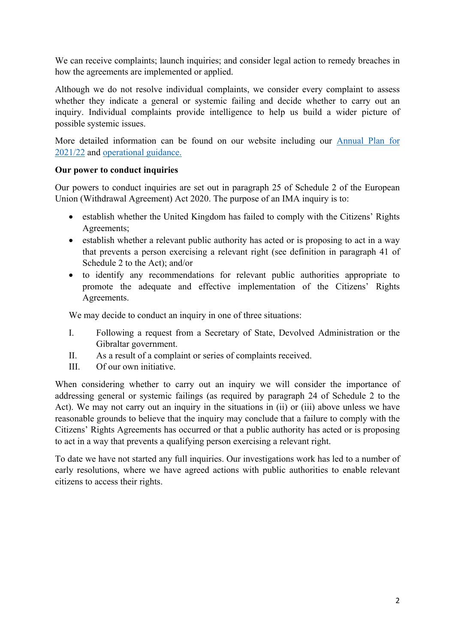We can receive complaints; launch inquiries; and consider legal action to remedy breaches in how the agreements are implemented or applied.

Although we do not resolve individual complaints, we consider every complaint to assess whether they indicate a general or systemic failing and decide whether to carry out an inquiry. Individual complaints provide intelligence to help us build a wider picture of possible systemic issues.

More detailed information can be found on our website including our [Annual](https://ima-citizensrights.org.uk/publications/annual-plan/) [Plan](https://ima-citizensrights.org.uk/publications/annual-plan/) [for](https://ima-citizensrights.org.uk/publications/annual-plan/) [2021/22](https://ima-citizensrights.org.uk/publications/annual-plan/) and [operational](https://ima-citizensrights.org.uk/publications/operational-guidance/) [guidance.](https://ima-citizensrights.org.uk/publications/operational-guidance/)

#### **Our power to conduct inquiries**

Our powers to conduct inquiries are set out in paragraph 25 of Schedule 2 of the European Union (Withdrawal Agreement) Act 2020. The purpose of an IMA inquiry is to:

- establish whether the United Kingdom has failed to comply with the Citizens' Rights Agreements;
- establish whether a relevant public authority has acted or is proposing to act in a way that prevents a person exercising a relevant right (see definition in paragraph 41 of Schedule 2 to the Act); and/or
- to identify any recommendations for relevant public authorities appropriate to promote the adequate and effective implementation of the Citizens' Rights Agreements.

We may decide to conduct an inquiry in one of three situations:

- I. Following a request from a Secretary of State, Devolved Administration or the Gibraltar government.
- II. As a result of a complaint or series of complaints received.
- III. Of our own initiative.

When considering whether to carry out an inquiry we will consider the importance of addressing general or systemic failings (as required by paragraph 24 of Schedule 2 to the Act). We may not carry out an inquiry in the situations in (ii) or (iii) above unless we have reasonable grounds to believe that the inquiry may conclude that a failure to comply with the Citizens' Rights Agreements has occurred or that a public authority has acted or is proposing to act in a way that prevents a qualifying person exercising a relevant right.

To date we have not started any full inquiries. Our investigations work has led to a number of early resolutions, where we have agreed actions with public authorities to enable relevant citizens to access their rights.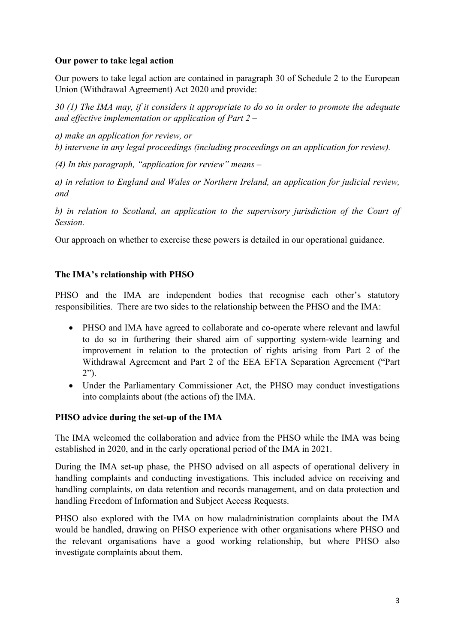# **Our power to take legal action**

Our powers to take legal action are contained in paragraph 30 of Schedule 2 to the European Union (Withdrawal Agreement) Act 2020 and provide:

30 (1) The IMA may, if it considers it appropriate to do so in order to promote the adequate *and effective implementation or application of Part 2 –*

*a) make an application for review, or b) intervene in any legal proceedings (including proceedings on an application for review).*

*(4) In this paragraph, "application for review" means –*

*a) in relation to England and Wales or Northern Ireland, an application for judicial review, and*

*b) in relation to Scotland, an application to the supervisory jurisdiction of the Court of Session.*

Our approach on whether to exercise these powers is detailed in our operational guidance.

# **The IMA's relationship with PHSO**

PHSO and the IMA are independent bodies that recognise each other's statutory responsibilities. There are two sides to the relationship between the PHSO and the IMA:

- PHSO and IMA have agreed to collaborate and co-operate where relevant and lawful to do so in furthering their shared aim of supporting system-wide learning and improvement in relation to the protection of rights arising from Part 2 of the Withdrawal Agreement and Part 2 of the EEA EFTA Separation Agreement ("Part 2").
- Under the Parliamentary Commissioner Act, the PHSO may conduct investigations into complaints about (the actions of) the IMA.

# **PHSO advice during the set-up of the IMA**

The IMA welcomed the collaboration and advice from the PHSO while the IMA was being established in 2020, and in the early operational period of the IMA in 2021.

During the IMA set-up phase, the PHSO advised on all aspects of operational delivery in handling complaints and conducting investigations. This included advice on receiving and handling complaints, on data retention and records management, and on data protection and handling Freedom of Information and Subject Access Requests.

PHSO also explored with the IMA on how maladministration complaints about the IMA would be handled, drawing on PHSO experience with other organisations where PHSO and the relevant organisations have a good working relationship, but where PHSO also investigate complaints about them.